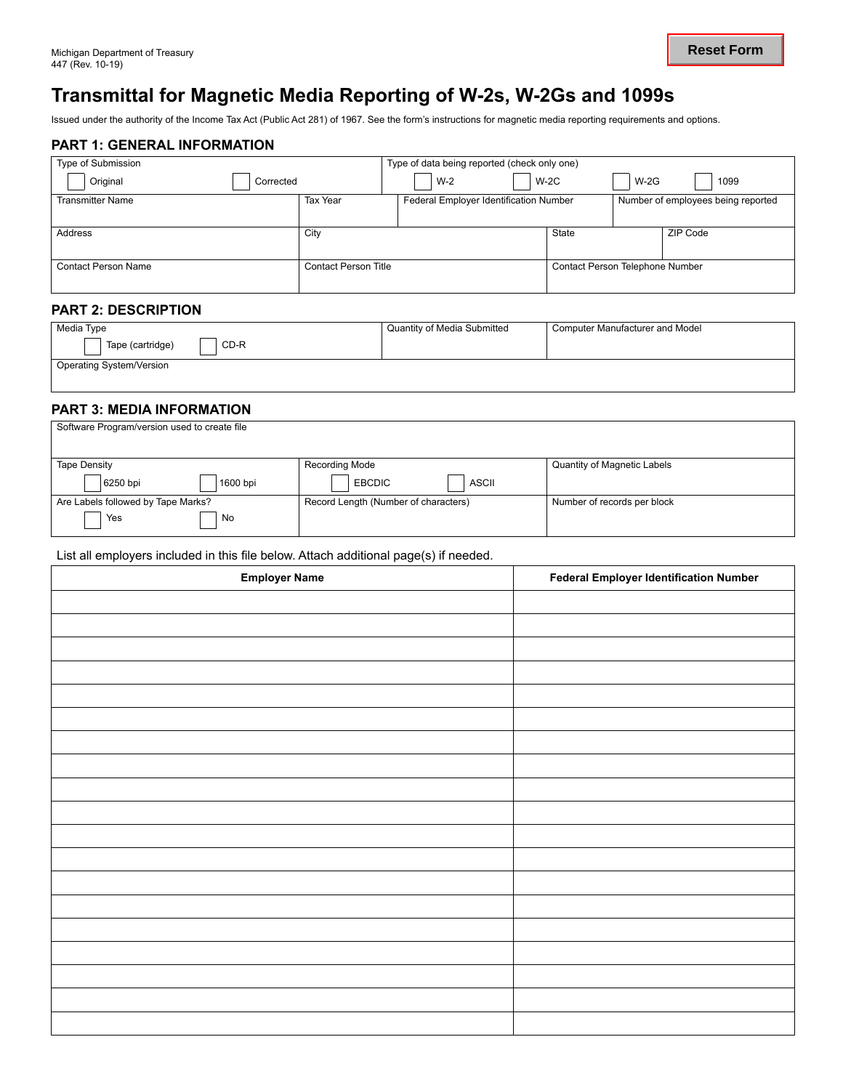# **Transmittal for Magnetic Media Reporting of W-2s, W-2Gs and 1099s**

Issued under the authority of the Income Tax Act (Public Act 281) of 1967. See the form's instructions for magnetic media reporting requirements and options.

# **PART 1: GENERAL INFORMATION**

| Type of Submission      |                      | Type of data being reported (check only one) |                                 |        |                                    |
|-------------------------|----------------------|----------------------------------------------|---------------------------------|--------|------------------------------------|
| Original<br>Corrected   |                      | $W-2$                                        | $W-2C$                          | $W-2G$ | 1099                               |
| <b>Transmitter Name</b> | <b>Tax Year</b>      | Federal Employer Identification Number       |                                 |        | Number of employees being reported |
|                         |                      |                                              |                                 |        |                                    |
| Address                 | City                 |                                              | State                           |        | ZIP Code                           |
|                         |                      |                                              |                                 |        |                                    |
| Contact Person Name     | Contact Person Title |                                              | Contact Person Telephone Number |        |                                    |
|                         |                      |                                              |                                 |        |                                    |

# **PART 2: DESCRIPTION**

| Media Type                            | Quantity of Media Submitted | Computer Manufacturer and Model |
|---------------------------------------|-----------------------------|---------------------------------|
| CD-R<br>Tape (cartridge)              |                             |                                 |
| <sup>1</sup> Operating System/Version |                             |                                 |

# **PART 3: MEDIA INFORMATION**

| Software Program/version used to create file |                                      |                             |
|----------------------------------------------|--------------------------------------|-----------------------------|
| <b>Tape Density</b>                          | Recording Mode                       | Quantity of Magnetic Labels |
| 6250 bpi<br>1600 bpi                         | <b>ASCII</b><br><b>EBCDIC</b>        |                             |
| Are Labels followed by Tape Marks?           | Record Length (Number of characters) | Number of records per block |
| Yes<br>No                                    |                                      |                             |

#### List all employers included in this file below. Attach additional page(s) if needed.

| <b>Employer Name</b> | <b>Federal Employer Identification Number</b> |
|----------------------|-----------------------------------------------|
|                      |                                               |
|                      |                                               |
|                      |                                               |
|                      |                                               |
|                      |                                               |
|                      |                                               |
|                      |                                               |
|                      |                                               |
|                      |                                               |
|                      |                                               |
|                      |                                               |
|                      |                                               |
|                      |                                               |
|                      |                                               |
|                      |                                               |
|                      |                                               |
|                      |                                               |
|                      |                                               |
|                      |                                               |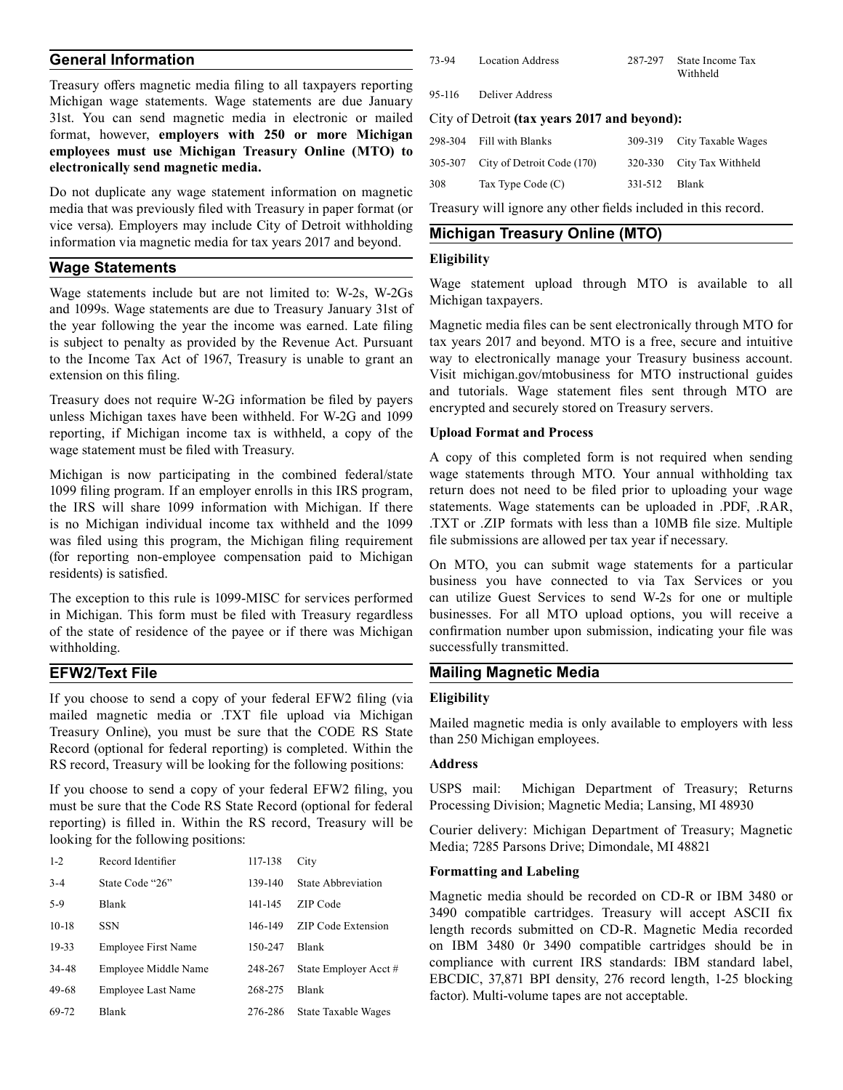# **General Information**

 format, however, **employers with 250 or more Michigan**  Treasury offers magnetic media filing to all taxpayers reporting Michigan wage statements. Wage statements are due January 31st. You can send magnetic media in electronic or mailed **employees must use Michigan Treasury Online (MTO) to electronically send magnetic media.** 

Do not duplicate any wage statement information on magnetic media that was previously filed with Treasury in paper format (or vice versa). Employers may include City of Detroit withholding information via magnetic media for tax years 2017 and beyond.

#### **Wage Statements**

Wage statements include but are not limited to: W-2s, W-2Gs and 1099s. Wage statements are due to Treasury January 31st of the year following the year the income was earned. Late filing is subject to penalty as provided by the Revenue Act. Pursuant to the Income Tax Act of 1967, Treasury is unable to grant an extension on this filing.

Treasury does not require W-2G information be filed by payers unless Michigan taxes have been withheld. For W-2G and 1099 reporting, if Michigan income tax is withheld, a copy of the wage statement must be filed with Treasury.

Michigan is now participating in the combined federal/state 1099 filing program. If an employer enrolls in this IRS program, the IRS will share 1099 information with Michigan. If there is no Michigan individual income tax withheld and the 1099 was filed using this program, the Michigan filing requirement (for reporting non-employee compensation paid to Michigan residents) is satisfied.

The exception to this rule is 1099-MISC for services performed in Michigan. This form must be filed with Treasury regardless of the state of residence of the payee or if there was Michigan withholding.

### **EFW2/Text File**

If you choose to send a copy of your federal EFW2 filing (via mailed magnetic media or .TXT file upload via Michigan Treasury Online), you must be sure that the CODE RS State Record (optional for federal reporting) is completed. Within the RS record, Treasury will be looking for the following positions:

If you choose to send a copy of your federal EFW2 filing, you must be sure that the Code RS State Record (optional for federal reporting) is filled in. Within the RS record, Treasury will be looking for the following positions:

| $1 - 2$ | Record Identifier    | 117-138 | City                      |
|---------|----------------------|---------|---------------------------|
| $3 - 4$ | State Code "26"      | 139-140 | State Abbreviation        |
| $5-9$   | Blank                | 141-145 | ZIP Code                  |
| $10-18$ | <b>SSN</b>           | 146-149 | <b>ZIP Code Extension</b> |
| 19-33   | Employee First Name  | 150-247 | Blank                     |
| 34-48   | Employee Middle Name | 248-267 | State Employer Acct#      |
| 49-68   | Employee Last Name   | 268-275 | <b>Blank</b>              |
| 69-72   | Blank                | 276-286 | State Taxable Wages       |

| 73-94  | Location Address | 287-297 State Income Tax<br>Withheld |
|--------|------------------|--------------------------------------|
| 95-116 | Deliver Address  |                                      |

#### City of Detroit **(tax years 2017 and beyond):**

|     | 298-304 Fill with Blanks           |               | 309-319 City Taxable Wages |
|-----|------------------------------------|---------------|----------------------------|
|     | 305-307 City of Detroit Code (170) |               | 320-330 City Tax Withheld  |
| 308 | Tax Type Code $(C)$                | 331-512 Blank |                            |

Treasury will ignore any other fields included in this record.

### **Michigan Treasury Online (MTO)**

#### **Eligibility**

Wage statement upload through MTO is available to all Michigan taxpayers.

Magnetic media files can be sent electronically through MTO for tax years 2017 and beyond. MTO is a free, secure and intuitive way to electronically manage your Treasury business account. Visit [michigan.gov/mtobusiness](https://michigan.gov/mtobusiness) for MTO instructional guides and tutorials. Wage statement files sent through MTO are encrypted and securely stored on Treasury servers.

#### **Upload Format and Process**

A copy of this completed form is not required when sending wage statements through MTO. Your annual withholding tax return does not need to be filed prior to uploading your wage statements. Wage statements can be uploaded in .PDF, .RAR, .TXT or .ZIP formats with less than a 10MB file size. Multiple file submissions are allowed per tax year if necessary.

On MTO, you can submit wage statements for a particular business you have connected to via Tax Services or you can utilize Guest Services to send W-2s for one or multiple businesses. For all MTO upload options, you will receive a confirmation number upon submission, indicating your file was successfully transmitted.

# **Mailing Magnetic Media**

#### **Eligibility**

Mailed magnetic media is only available to employers with less than 250 Michigan employees.

### **Address**

USPS mail: Michigan Department of Treasury; Returns Processing Division; Magnetic Media; Lansing, MI 48930

Courier delivery: Michigan Department of Treasury; Magnetic Media; 7285 Parsons Drive; Dimondale, MI 48821

#### **Formatting and Labeling**

Magnetic media should be recorded on CD-R or IBM 3480 or 3490 compatible cartridges. Treasury will accept ASCII fix length records submitted on CD-R. Magnetic Media recorded on IBM 3480 0r 3490 compatible cartridges should be in compliance with current IRS standards: IBM standard label, EBCDIC, 37,871 BPI density, 276 record length, 1-25 blocking factor). Multi-volume tapes are not acceptable.